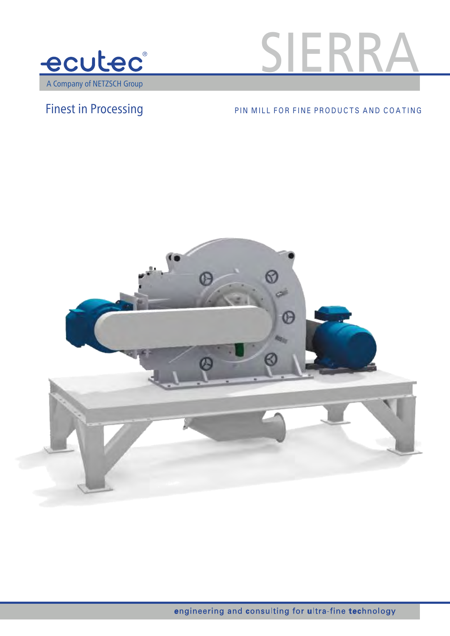



## Finest in Processing PIN MILL FOR FINE PRODUCTS AND COATING

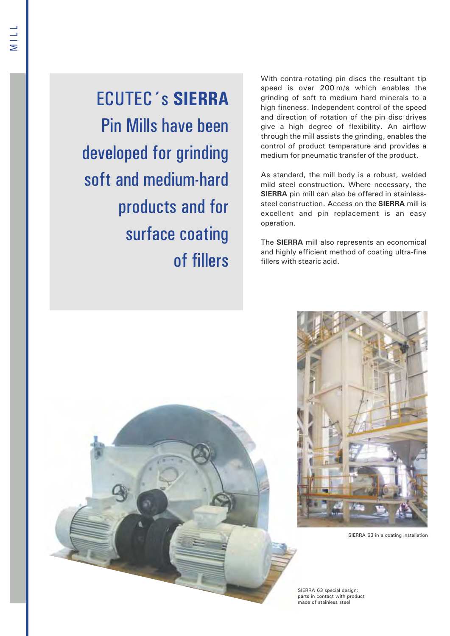ECUTEC´s **SIERRA** Pin Mills have been developed for grinding soft and medium-hard products and for surface coating of fillers With contra-rotating pin discs the resultant tip speed is over 200 m/s which enables the grinding of soft to medium hard minerals to a high fineness. Independent control of the speed and direction of rotation of the pin disc drives give a high degree of flexibility. An airflow through the mill assists the grinding, enables the control of product temperature and provides a medium for pneumatic transfer of the product.

As standard, the mill body is a robust, welded mild steel construction. Where necessary, the **SIERRA** pin mill can also be offered in stainlesssteel construction. Access on the **SIERRA** mill is excellent and pin replacement is an easy operation.

The **SIERRA** mill also represents an economical and highly efficient method of coating ultra-fine fillers with stearic acid.

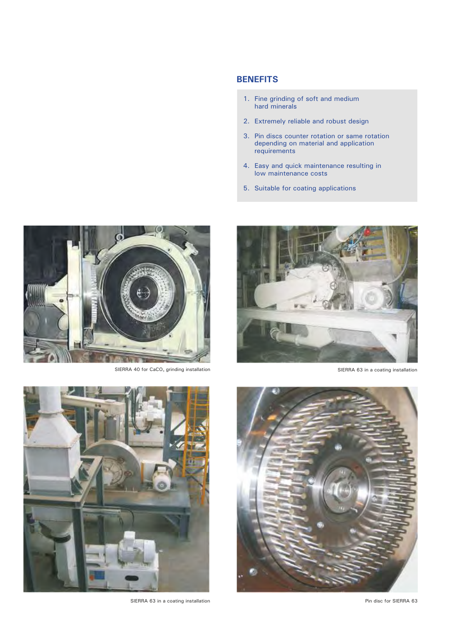## **BENEFITS**

- 1. Fine grinding of soft and medium hard minerals
- 2. Extremely reliable and robust design
- 3. Pin discs counter rotation or same rotation depending on material and application requirements
- 4. Easy and quick maintenance resulting in low maintenance costs
- 5. Suitable for coating applications



SIERRA 63 in a coating installation





SIERRA 40 for  $CaCO<sub>3</sub>$  grinding installation